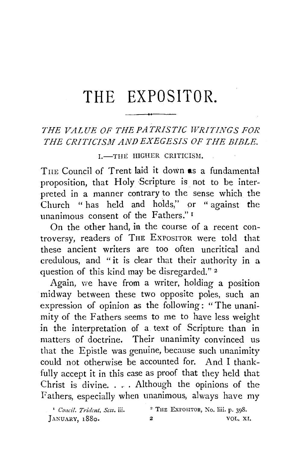# **THE EXPOSITOR.**

## *THE VALUE OF THEPATRISTIC WRITINGS FOR THE CRITICISM AND EXEGESIS OF THE BIBLE.*

#### I.-THE HIGHER CRITICISM.

THE Council of Trent laid it down as a fundamental proposition, that Holy Scripture is not to be interpreted in a manner contrary to the sense which the Church " has held and holds," or " against the unanimous consent of the Fathers." 1

On the other hand, **in** the course of a recent controversy, readers of THE ExPoSITOR were told that these ancient writers are too often uncritical and credulous, and "it is clear that their authority in a question of this kind may be disregarded." *z* 

Again, we have from a writer, holding a position mid way between these two opposite poles, such an expression of opinion as the following: " The unanimity of the Fathers seems to me to have less weight in the interpretation of a text of Scripture than in matters of doctrine. Their unanimity convinced us that the Epistle was genuine, because such unanimity could not otherwise be accounted for. And I thankfully accept it in this case as proof that they held that Christ is divine. . . . Although the opinions of the Fathers, especially when unanimous, always have my

' *Conci!. Trident. Sess.* iii. JANUARY, 1880. 2 THE ExrosiTOR, No. liii. p. 398. 2 VOL. XI.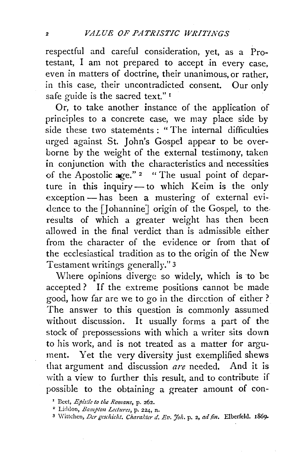respectful and careful consideration, yet, as a Protestant, I am not prepared to accept in every case, even in matters of doctrine, their unanimous, or rather, in this case, their uncontradicted consent. Our only safe guide is the sacred text." 1

Or, to take another instance of the application of principles to a concrete case, we may place side by side these two statements : "The internal difficulties urged against St. John's Gospel appear to be overborne by the weight of the external testimony, taken in conjunction with the characteristics and necessities of the Apostolic age."  $2^{\circ}$  " The usual point of departure in this inquiry- to which Keim is the only  $exception$ —has been a mustering of external evidence to the [Johannine] origin of the Gospel, to the results of which a greater weight has then been allowed in the final verdict than is admissible either from the character of the evidence or from that of the ecclesiastical tradition as to the origin of the New Testament writings generally." 3

Where opinions diverge so widely, which is to be accepted ? If the extreme positions cannot be made good, how far are we to go in the direction of either ? The answer to this question is commonly assumed without discussion. It usually forms a part of the stock of prepossessions with which a writer sits down to his work, and is not treated as a matter for argument. Yet the very diversity just exemplified shews that argument and discussion *are* needed. And it is with a view to further this result, and to contribute if possible to the obtaining a greater amount of con-

<sup>&#</sup>x27; Beet, *Epistle to the Romans,* p. 262.

<sup>&</sup>lt;sup>3</sup> Wittchen, *Der geschicht. Charakter d. Ev. Joh.* p. 2, *ad fin. Elberfeld.* 1869.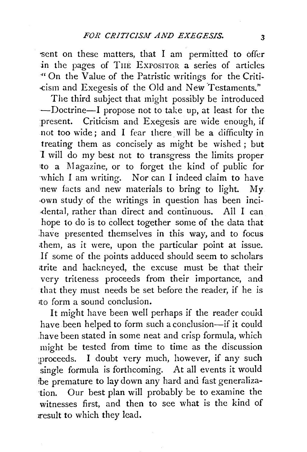sent on these matters, that I am permitted to offer .in the pages of TnE ExPOSITOR a series of articles "On the Value of the Patristic writings for the Criti- .-cism and Exegesis of the Old and New 'Testaments."

The third subject that might possibly be introduced -Doctrine-I propose not to take up, at least for the present. Criticism and Exegesis are wide enough, if not too wide; and I fear there. will be a difficulty in treating them as concisely as might be wished ; but I will do my best not to transgress the limits proper to a 1\Iagazine, or to forget the kind of public for which I am writing. Nor can I indeed claim to have rnew facts and new materials to bring to light.  $Mv$ -own study of the writings in question has been inci dental, rather than direct and continuous. All I can hope to do is to collect together some of the data that .have presented themselves in this way, and to focus them, as it were, upon the particular point at issue. If some of the points adduced should seem to scholars trite and hackneyed, the excuse must be that their very triteness proceeds from their importance, and that they must needs be set before the reader, if he is rt:o form a sound conclusion.

It might have been well perhaps if the reader could have been helped to form such a conclusion-if it could .have been stated in some neat and crisp formula, which might be tested from time to time as the discussion proceeds. I doubt very much, however, if any such single formula is forthcoming. At all events it would be premature to lay down any hard and fast generalization. Our best plan will probably be to examine the witnesses first, and then to see what is the kind of result to which they lead.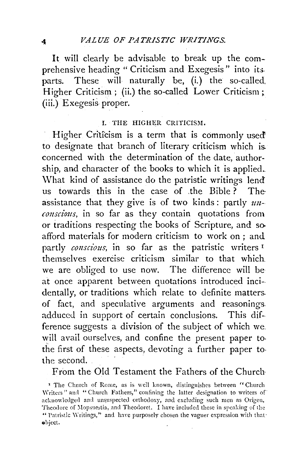It will clearly be advisable to break up the comprehensive heading " Criticism and Exegesis" into its parts. These will naturally be, (i.) the so-called. Higher Criticism ; (ii.) the so-called Lower Criticism; (iii.) Exegesis proper.

#### I. THE HIGHER CRITICISM.

Higher Criticism is a term that is commonly used to designate that branch of literary criticism which is. concerned with the determination of the date, authorship, and character of the books to which it is applied. \Vhat kind of assistance do the patristic writings lend' us towards this in the case of .the Bible ? The· assistance that they give is of two kinds: partly  $u_n$ *conscious,* in so far as they contain quotations from or traditions respecting the books of Scripture, and so. afford materials for modern criticism to work on ; and partly *conscious,* in so far as the patristic writers <sup>1</sup> themselves exercise criticism similar to that which we are obliged to use now. The difference will be at once apparent between quotations introduced inci- dentally, or traditions which relate to definite matters. of fact, and speculative arguments and reasonings. adduced in support of certain conclusions. This difference suggests a division of the subject of which we will avail ourselves, and confine the present paper to. the first of these aspects, devoting a further paper tothe second.

From the Old Testament the Fathers of the Church

<sup>&</sup>lt;sup>1</sup> The Church of Rome, as is well known, distinguishes between "Church Writers" and "Church Fathers," confining the latter designation to writers of acknowledged and unsuspected orthodoxy, and excluding such men as Origen, Theodore of Mopsuestia, and Theodoret. I have included these in speaking of the " Patristic Writings," and have purposely chosen the vaguer expression with thatehject.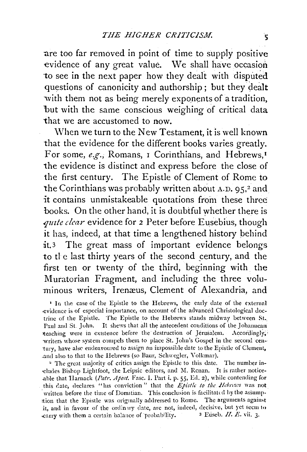are too far removed in point of time to supply positive evidence of any great value. We shall have occasion to see in the next paper how they dealt with disputed questions of canonicity and authorship; but they dealt with them not as being merely exponents of a tradition, but with the same conscious weighing of critical data that we are accustomed to now.

\V hen we turn to the New Testament, it is well known that the evidence for the different books varies greatly. For some, e.g., Romans, 1 Corinthians, and Hebrews,<sup>1</sup> the evidence is distinct and express before the close of the first century. The Epistle of Clement of Rome to the Corinthians was probably written about A.D. 95,<sup>2</sup> and it contains unmistakeable quotations from these three books. On the other hand, it is doubtful whether there is *.qmte clear* evidence for *2* Peter before Eusebius, though it has, indeed, at that time a lengthened history behind it.3 The great mass of important evidence belongs to the last thirty years of the second century, and the first ten or twenty of the third, beginning with the Muratorian Fragment, and including the three voluminous writers, Irenæus, Clement of Alexandria, and

• In the case of the Epistle to the Hebrews, the early date of the rxternal evidence is of especial importance, on account of the advanced Christological doctrine of the Epistle. The Epistle to the Hebrews stands midway between St. Paul and St. John. It shews that all the antecedent conditions of the Johannean teaching were in existence before the destruction of Jerusalem. Accordingly, -writers whose system compels them to place St. John's Gospel in the second century, have alsc endeavoured to assign an impossible date to the Epistle of Clement, .and also to that to the Hebrews (so Baur, Schwegler, Volkmar).

" The great majority of critics assign the Epistle to this date. The number in- ·cludes Bishop Lightfoot, the Leipsic editors, and lii. Renan. It is rather notice able that Harnack (Patr. Apost. Fasc. I. Part i. p. 55, Ed. 2), while contending for this date, declares "his conviction" that the *Epistle to the Hebrews* was not written before the time of Domitian. This conclusion is facilitated by the assumption that the Epistle was originally addressed to Rome. The arguments against it, and in favour of the ordinary date, are not, indeed, decisive, but yet seem to carry with them a certain balance of probability.  $\frac{3}{2}$  Euseb. II. E. vii. 3.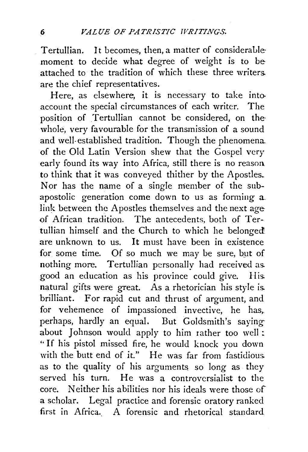Tertullian. It becomes, then, a matter of considerablemoment to decide what degree of weight is to be attached to the tradition of which these three writers. are the chief representatives.

Here, as elsewhere, it is necessary to take intoaccount the special circumstances of each writer. The position of Tertullian cannot be considered, on the whole, very favourable for the transmission of a sound and well established tradition. Though the phenomena. of the Old Latin Version shew that the Gospel very early found its way into Africa, still there *is* no reasoa. to think that it was conveyed thither by the Apostles. Nor has the name of a single member of the subapostolic generation come down to us as forming a. link between the Apostles themselves and the next age of African tradition. The antecedents, both of Tertullian himself and the Church to which he belonged. are unknown to us. It must have been in existence for some time. Of so much we may be sure, but of nothing more. Tertullian personally had received as. good an education as his province could give. His. natural gifts were great. As a rhetorician his style is. brilliant. For rapid cut and thrust of argument, and for vehemence of impassioned invective, he has, perhaps, hardly an equal. But Goldsmith's sayingabout Johnson would apply to him rather too well: " If his pistol missed fire, he would knock you down with the butt end of it." He was far from fastidious. as to the quality of his arguments so long as they served his turn. He was a controversialist to the core. Neither his abilities nor his ideals were those of a scholar. Legal practice and forensic oratory ranked first in Africa. A forensic and rhetorical standard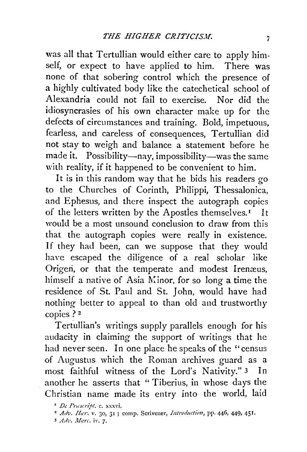was all that Tertullian would either care to apply himself, or expect to have applied to him. There was none of that sobering control which the presence of a highly cultivated body like the catechetical school of Alexandria could not fail to exercise. Nor did the idiosyncrasies of his own character make up for the defects of circumstances and training. Bold, impetuous, fearless, and careless of consequences, Tertullian did not stay to weigh and balance a statement before he made it. Possibility--nay, impossibility--was the same with reality, if it happened to be convenient to him.

It is in this random way that he bids his readers go to the Churches of Corinth, Philippi, Thessalonica, and Ephesus, and there inspect the autograph copies of the letters written by the Apostles themselves.<sup>1</sup> It would be a most unsound conclusion to draw from this that the autograph copies were really in existence. If they had been, can we suppose that they would have escaped the diligence of a real scholar like Origen, or that the temperate and modest Irenæus, himself a native of Asia M:inor, for so long a time the residence of St. Paul and St. John, would have had nothing better to appeal to than old and trustworthy copies? 2

Tertullian's writings supply parallels enough for his audacity in claiming the support of writings that he had never seen. In one place he speaks of the ''census of Augustus which the Roman archives guard as a most faithful witness of the Lord's Nativity." 3 In another he asserts that " Tiberius, in whose days the Christian name made its entry into the world, laid

<sup>&</sup>lt;sup>1</sup> De Prascript. c. xxxvi.

<sup>&</sup>lt;sup>2</sup> Adv. Ilar. v. 30, 31 ; comp. Scrivener, Introduction, pp. 446, 449, 451.

<sup>&</sup>lt;sup>3</sup> Adv. Marc. iv. 7.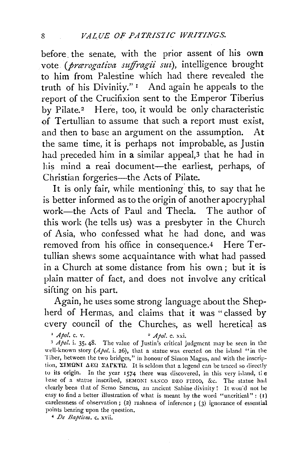before. the senate, with the prior assent of his own vote (*prarogativa suffragii sui*), intelligence brought to him from Palestine which had there revealed the truth of his Divinity."  $\mathbf{I}$  And again he appeals to the report of the Crucifixion sent to the Emperor Tiberius by Pilate.<sup>2</sup> Here, too, it would be only characteristic of Tertullian to assume that such a report must exist, and then to base an argument on the assumption. At the same time, it is perhaps not improbable, as Justin had preceded him in a similar appeal,<sup>3</sup> that he had in his mind a reai document-the earliest, perhaps, of Christian forgeries—the Acts of Pilate.

It is only fair, while mentioning this, to say that he is better informed as to the origin of another apocryphal work-the Acts of Paul and Thecla. The author of this work (he tells us) was a presbyter in the Church of Asia, who confessed what he had done, and was removed from his office in consequence.4 Here Tertullian shews some acquaintance with what had passed in a Church at some distance from his own; but it is plain matter of fact, and does not involve any critical sifting on his part.

Again, he uses some strong language about the Shepherd of Hermas, and claims that it was "classed by every council of the Churches, as well heretical as

<sup>1</sup> *Apol.* **c.** v. 2 *Apol.* **c.** xxi. <sup>2</sup> *Apol.* **c.** xxi. 3 *Apol.* **i.** 3*5*, 48. The value of Justin's critical judgment may be seen in the well-known story (Apol. i. 26), that a statue was erected on the island "in the Tiber, between the two bridges," in honour of Simon Magus, and with the inscription,  $\Sigma$ IMONI  $\Delta$ EO  $\Sigma$ ATKTO. It is seldom that a legend can be traced so directly to its origin. In the year 1574 there was discovered, in this very island, the base of a statue inscribed, SEMONI SANCO DEO FIDIO, &c. The statue had clearly been that of Semo Sancus, an ancient Sabine divinity! It wou'd not be easy to find a better illustration of what is meant by the word "uncritical": (I) carelessness of observation; (2) rashness of inference; (3) ignorance of essential points hearing upon the question.

• *De Baptism.* c. xvii.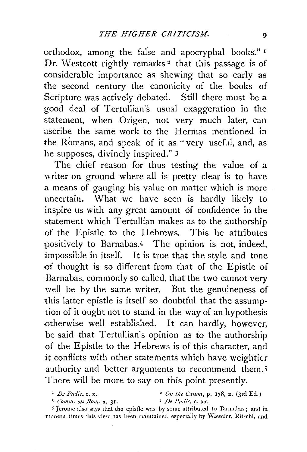orthodox, among the false and apocryphal books."<sup>1</sup> Dr. Westcott rightly remarks<sup>2</sup> that this passage is of considerable importance as shewing that so early as the second century the canonicity of the books of Scripture was actively debated. Still there must be a good deal of Tertullian's usual exaggeration in the statement, when Origen, not very much later, can ascribe the same work to the Hermas mentioned in the Romans, and speak of it as "very useful, and, as he supposes, divinely inspired." 3

The chief reason for thus testing the value of a writer on ground where all is pretty clear is to have a means of gauging his value on matter which is more uncertain. What we have seen is hardly likely to inspire us with any great amount of confidence in the statement which Tertullian makes as to the authorship •of the Epistle to the Hebrews. This he attributes positively to Barnabas.<sup>4</sup> The opinion is not, indeed, impossible in itself. It is true that the style and tone -of thought is so different from that of the Epistle of Barnabas, commonly so called, that the two cannot very well be by the same writer. But the genuineness of this latter epistle is itself so doubtful that the assumption of it ought not to stand in the way of an hypothesis otherwise well established. It can hardly, however, be said that Tertullian's opinion as to the authorship of the Epistle to the Hebrews is of this character, and it conflicts with other statements which have weightier authority and better arguments to recommend them.<sup>5</sup> There will be more to say on this point presently.

<sup>3</sup>*Comm. Oil Rom.* x. 31. • *De Pudic.* c. xx.

<sup>5</sup> Jerome also says that the epistle was by some attributed to Barnabas; and in modern times this view has been maintained especially by Wieselcr, Ritschl, and

<sup>&</sup>lt;sup>1</sup> *De Pudic*, c. x. <sup>2</sup> *On the Canon*, p. 178, n. (3rd Ed.)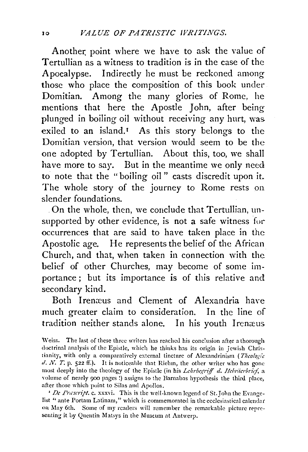Another point where we have to ask the value of Tertullian as a witness to tradition is in the case of the Apocalypse. Indirectly he must be reckoned among those who place the composition of this book under Domitian. Among the many glories of Rome, he mentions that here the Apostle John, after being plunged in boiling oil without receiving any hurt, was. exiled to an island.<sup>1</sup> As this story belongs to the Domitian version, that version would seem to be the one adopted by Tertullian. About this, too, we shall have more to say. But in the meantime we only need to note that the "boiling oil " casts discredit upon it. The whole story of the journey to Rome rests on slender foundations.

. On the whole, then, we conclude that Tertullian, unsupported by other evidence, is not a safe witness for occurrences that are said to have taken place in the Apostolic age. He represents the belief of the African Church, and that, when taken in connection with the belief of other Churches, may become of some importance ; but its importance is of this relative and secondary kind.

Both Irenæus and Clement of Alexandria have much greater claim to consideration. In the line of tradition neither stands alone. In his youth Irenæus

Weiss. The last of these three writers has reached his conclusion after a thorough doctrinal analysis of the Epistle, which he thinks has its origin in Jewish Christianity, with only a comparatively external tincture of Alexandrinism ( *Thco!ogie*  d. N. T. p. 522 ff.). It is noticeable that Riehm, the other writer who has gone most deeply into the theology of the Epistle (in his *Lehrbegriff d. Hebräerbrief*, a volume of nearly 900 pages !) assigns to the Barnabas hypothesis the third place, after those which point to Silas and Apollos.

<sup>1</sup> *De Prascript.* c. xxxvi. This is the well-known legend of St. John the Evangelist " ante Portam Latinam," which is commemorated in the ecclesiastical calendar on May 6th. Some of my readers will remember the remarkable picture representing it by Quentin Matsys in the Museum at Antwerp.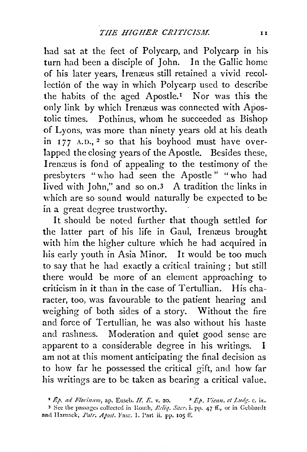had sat at the feet of Polycarp, and Polycarp in his turn had been a disciple of John. In the Gallic home of his later years, Irenæus still retained a vivid recollection of the way in which Polycarp used to describe the habits of the aged Apostle.<sup>I</sup> Nor was this the only link by which Irenæus was connected with Apostolic times. Pothinus, whom he succeeded as Bishop of Lyons, was more than ninety years old at his death in  $177$  A.D., <sup>2</sup> so that his boyhood must have overlapped the closing years of the Apostle. Besides these, Irenxus is fond of appealing to the testimony of the presbyters "who had seen the Apostle" "who had lived with John," and so on.3 A tradition the links in which are so sound would naturally be expected to be in a great degree trustworthy.

It should be noted further that though settled for the latter part of his life in Gaul, Irenzeus brought with him the higher culture which he had acquired in his early youth in Asia Minor. It would be too much to say that he had exactly a critical training; but still there would be more of an element approaching to criticism in it than in the case of Tertullian. His character, too, was favourable to the patient hearing and weighing of both sides of a story. Without the fire and force of Tertullian, he was also without his haste and rashness. Moderation and quiet good sense are apparent to a considerable degree in his writings. I am not at this moment anticipating the final decision as to how far he possessed the critical gift, and how far his writings are to be taken as bearing a critical value.

 $\mathbf{F} \mathbf{E}$ *p. ad Florinum,* ap. Euseb. *H. E. v.* 20.  $\mathbf{F} \mathbf{E}$ *P. Vienn. et Ludg. c.* ix. <sup>3</sup> See the passages collected in Routh, *Reliq. Sacr.* **i.** pp. 47 ff., or in Gebhardt and Harnack, *Patr. Apost.* Fasc. I. Part ii. pp. 105 ff.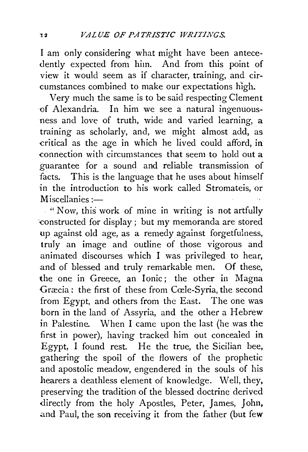I am only considering what might have been antecedently expected from him. And from this point of view it would seem as if character, training, and circumstances combined to make our expectations high.

Very much the same is to be said respecting Clement of Alexandria. In him we see a natural ingenuousness and love of truth, wide and varied learning, a training as scholarly, and, we might almost add, as critical as the age in which he lived could afford, in connection with circumstances that seem to hold out a guarantee for a sound and reliable transmission of facts. This is the language that he uses about himself in the introduction to his work called Stromateis, or  $M$ iscellanies : $-$ 

" Now, this work of mine in writing is not artfully ·constructed for display; but my memoranda are stored up against old age, as a remedy against forgetfulness, truly an image and outline of those vigorous and animated discourses which I was privileged to hear, and of blessed and truly remarkable men. Of these, the one in Greece, an Ionic; the other in Magna Græcia: the first of these from Cœle-Syria, the second from Egypt, and others from the East. The one was born in the land of Assyria, and the other a Hebrew in Palestine. When I came upon the last (he was the first in power), having tracked him out conceaied in Egypt, I found rest. He the true, the Sicilian bee, gathering the spoil of the flowers of the prophetic and apostolic meadow, engendered in the souls of his hearers a deathless element of knowledge. Well, they, preserving the tradition of the blessed doctrine derived directly from the holy Apostles, Peter, James, John, and Paul, the son receiving it from the father (but few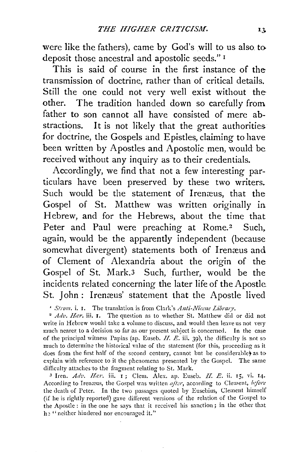were like the fathers), came by God's will to us also. to deposit those ancestral and apostolic seeds." 1

This is said of course in the first instance of the transmission of doctrine, rather than of critical details. Still the one could not very well exist without the other. The tradition handed down so carefully from father to son cannot all have consisted of mere abstractions. It is not likely that the great authorities for doctrine, the Gospels and Epistles, claiming to have been written by Apostles and Apostolic men, would be received without any inquiry as to their credentials.

Accordingly, we find that not a few interesting particulars have been preserved by these two writers. Such would be the statement of Irenæus, that the Gospel of St. Matthew was written originally in Hebrew, and for the Hebrews, about the time that Peter and Paul were preaching at Rome.<sup>2</sup> Such. again, would be the apparently independent (because somewhat divergent) statements both of Irenæus and of Clement of Alexandria about the origin of the Gospel of St. Mark.3 Such, further, would be the incidents related concerning the later life of the Apostle St. John : Irenæus' statement that the Apostle lived

<sup>1</sup> *Strom.* **i. I.** The translation is from Clark's *Anti-Niccne Library*.

<sup>2</sup> Adv. Har. iii. 1. The question as to whether St. Matthew did or did not write in Hebrew would take a volume to discuss, and would then leave us not very much nearer to a decision so far as our present subject is concerned. In the case of the principal witness Papias (ap. Euseb. *II. E.* iii. 39), the difficulty is not so much to determine the historical value of the statement (for this, proceeding as it does from the first half of the second century, cannot but be considerable) as to explain with reference to it the phenomena presented by the Gospel. The same difficulty attaches to the fragment relating to St. Mark.

3 Iren. *Adv. Har*. iii. 1; Clem. Alex. ap. Euseb. *H. E.* ii. 15, vi. 14. According to Irenæus, the Gospel was written after, according to Clement, *before* the death of Peter. In the two passages quoted by Eusebius, Clement himself (if he is rightly reported) gave different versions of the relation of the Gospel to the Apostle : in the one he says that it received his sanction; in the other that he "neither hindered nor encouraged it."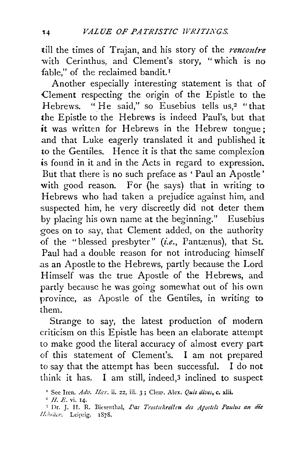till the times of Trajan, and his story of the *rencoutre*  with Cerinthus, and Clement's story, "which is no fable," of the reclaimed bandit.<sup>1</sup>

Another especially interesting statement is that of Clement respecting the origin of the Epistle to the Hebrews. "He said," so Eusebius tells us,<sup>2</sup> "that the Epistle to the Hebrews is indeed Paul's, but that it was written for Hebrews in the Hebrew tongue; and that Luke eagerly translated it and published it to the Gentiles. Hence it is that the same complexion *is* found in it and in the Acts in regard to expression. But that there is no such preface as 'Paul an Apostle' with good reason. For {he says) that in writing to Hebrews who had taken a prejudice against him, and suspected him, he very discreetly did not deter them by placing his own name at the beginning." Eusebius goes on to say, that Clement added, on the authority of the "blessed presbyter" (i.e., Pantænus), that St. Paul had a double reason for not introducing himself as an Apostle to the Hebrews, partly because the Lord Himself was the true Apostle of the Hebrews, and partly because he was going somewhat out of his own province, as Apostle of the Gentiles, in writing to them.

Strange to say, the latest production of modern criticism on this Epistle has been an elaborate attempt to make good the literal accuracy of almost every part of this statement of Clement's. I am not prepared to say that the attempt has been successful. I do not think it has. I am still, indeed,3 inclined to suspect

<sup>&</sup>lt;sup>1</sup> See Iren. *Adv. Har.* ii. 22, iii. 3; Clem. Alex. *Quis dives*, c. xlii.

<sup>2</sup>*11. E.* vi. 14.

<sup>&</sup>lt;sup>3</sup> Dr. J. H. R. Biesenthal, *Das Trostschreilen des Afostels Paulus an die* Ilcbraer, Leipzig. 1878.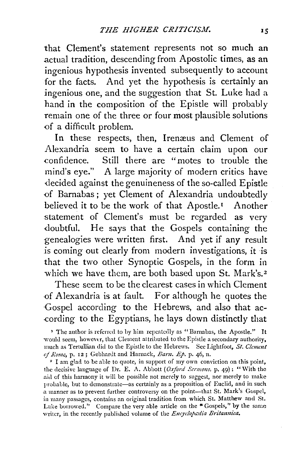that Clement's statement represents not so much an .actual tradition, descending from Apostolic times, as an ingenious hypothesis invented subsequently to account for the facts. And yet the hypothesis is certainly an ingenious one, and the suggestion that St. Luke had a hand in the composition of the Epistle will probably remain one of the three or four most plausible solutions of a difficult problem.

In these respects, then, Iremeus and Clement of Alexandria seem to have a certain claim upon our confidence. Still there are "motes to trouble the mind's eye." A large majority of modern critics have -decided against the genuineness of the so-called Epistle of Barnabas; yet Clement of Alexandria undoubtedly believed it to be the work of that Apostle.<sup>1</sup> Another statement of Clement's must be regarded as very doubtful. He says that the Gospels containing the genealogies were written first. And yet if any result is coming out clearly from modern investigations, it is that the two other Synoptic Gospels, in the form in which we have them, are both based upon St. Mark's.<sup>2</sup>

These seem to be the clearest cases in which Clement of Alexandria is at fault. For although he quotes the Gospel according to the Hebrews, and also that ac- ·cording to the Egyptians, he lays down distinctly that

the decisive language of Dr. E. A. Ab bott *(Oxford Scrmom,* p. 49) : "With the aid of this harmony it will be possible not merely to suggest, nor merely to make probable, but to demonstrate-as certainly as a proposition of Euclid, and in such a manner as to prevent further controversy on the point-that St. Mark's Gospel, in many passages, contains an original tradition from which St. Matthew and St. Luke borrowed." Compare the very able article on the "Gospels," by the same writer, in the recently published volume of the *Encyclopadia Britannica*.

<sup>&</sup>lt;sup>1</sup> The author is referred to by him repeatedly as "Barnabas, the Apostle." It would seem, however, that Clement attributed to the Epistle a secondary authority, much as Tertullian did to the Epistle to the Hebrews. See Lightfoot, *St. C!cmcut of Rome*, **p. 12;** Gebhardt and Harnack, *Barn. Ep.* **p. 46, n.** 2 I am glad to be able to quote, in support of my own conviction on this point,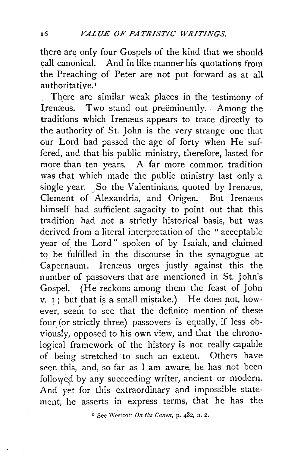there are only four Gospels of the kind that we should call canonical. And in like manner his quotations from the Preaching of Peter are not put forward as at all authoritative. 1

. There are similar weak places in the testimony of Irenæus. Two stand out preeminently. Among the traditions which Irenæus appears to trace directly to the authority of St. John is the very strange one that our Lord had passed the age of forty when He suffered, and that his public ministry, therefore, lasted for more than ten years. A far more common tradition was that which made the public ministry last only a single year. So the Valentinians, quoted by I renæus, Clement of Alexandria, and Origen. But Irenæus himself had sufficient sagacity to point out that this tradition had not a strictly historical basis, but was derived from a literal interpretation of the "acceptable year of the Lord" spoken of by Isaiah, and claimed to be fulfilled in the discourse in the synagogue at Capernaum. Irenæus urges justly against this the number of passovers that are mentioned in St. John's. Gospel. (He reckons among them the feast of John  $v.$   $i$ ; but that is a small mistake.) He does not, however, seem to see that the definite mention of these four (or strictly three) passovers is equally, if less obviously, opposed to his own view, and that the chronological framework of the history is not really capable of being stretched to such an extent. Others have seen this, and, so far as I am aware, he has not been followed by any succeeding writer, ancient or modern. And yet for this extraordinary and impossible statement, he asserts in express terms, that he has the

1 See 'Vestcott *On the Canon,* p. 482, n. 2.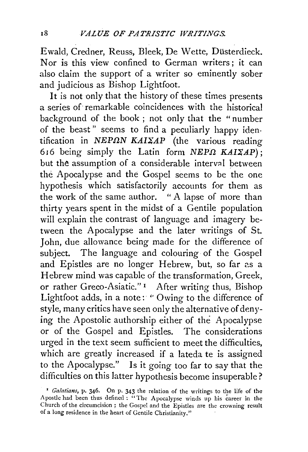Ewald, Credner, Reuss, Bleek, De Wette, Düsterdieck. Nor is this view confined to German writers ; it can also claim the support of a writer so eminently sober and judicious as Bishop Lightfoot.

It is not only that the history of these times presents a series of remarkable coincidences with the historical background of the book; not only that the "number of the beast" seems to find a peculiarly happy iden $tification in NEP\Omega N KAIZAP$  (the various reading 616 being simply the Latin form  $NEP\Omega$   $KAIZAP$ ); but the assumption of a considerable interval between the Apocalypse and the Gospel seems to be the one hypothesis which satisfactorily accounts for them as the work of the same author. " A lapse of more than thirty years spent in the midst of a Gentile population will explain the contrast of language and imagery between the Apocalypse and the later writings of St. John, due allowance being made for the difference of subject. The language and colouring of the Gospel and Epistles are no longer Hebrew, but, so far as a Hebrew mind was capable of the transformation, Greek, or rather Greco-Asiatic."<sup>1</sup> After writing thus, Bishop Lightfoot adds, in a note: '' Owing to the difference of style, many critics have seen only the alternative of denying the Apostolic authorship either of the Apocalypse or of the Gospel and Epistles. The considerations urged in the text seem sufficient to meet the difficulties, which are greatly increased if a lateda te is assigned to the Apocalypse." Is it going too far to say that the difficulties on this latter hypothesis become insuperable?

<sup>&</sup>lt;sup>1</sup> *Galatians*, p. 346. On p. 343 the relation of the writings to the life of the Apostle had been thus defined: "The Apocalypse winds up his career in the Church of the circumcision ; the Gospel and the Epistles are the crowning result of a long residence in the heart of Gentile Christianity."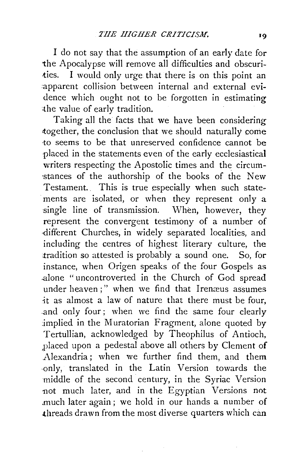I do not say that the assumption of an early date for the Apocalypse will remove all difficulties and obscuri-<br>ties. I would only urge that there is on this point an I would only urge that there is on this point an :apparent collision between internal and external evidence which ought not to be forgotten in estimating .the value of early tradition.

Taking all the facts that we have been considering together, the conclusion that we should naturally come to seems to be that unreserved confidence cannot be placed in the statements even of the early ecclesiastical writers respecting the Apostolic times and the circum- ·stances of the authorship of the books of the New Testament. This is true especially when such statements are isolated, or when they represent only a single line of transmission. When, however, they represent the convergent testimony of a number of -different Churches, in widely separated localities, and including the centres of highest literary culture, the tradition so attested is probably a sound one. So, for instance, when Origen speaks of the four Gospels as .alone "uncontroverted in the Church of God spread under heaven;" when we find that Irenæus assumes -it as almost a law of nature that there must be four, .and only four; when we find the same four clearly implied in the Muratorian Fragment, alone quoted by Tertullian, acknowledged by Theophilus of Antioch, placed upon a pedestal above all others by Clement of Alexandria; when we further find them, and them ·only, translated in the Latin Version towards the middle of the second century, in the Syriac Version not much later, and in the Egyptian Versions not much later again; we hold in our hands a number of threads drawn from the most diverse quarters which can